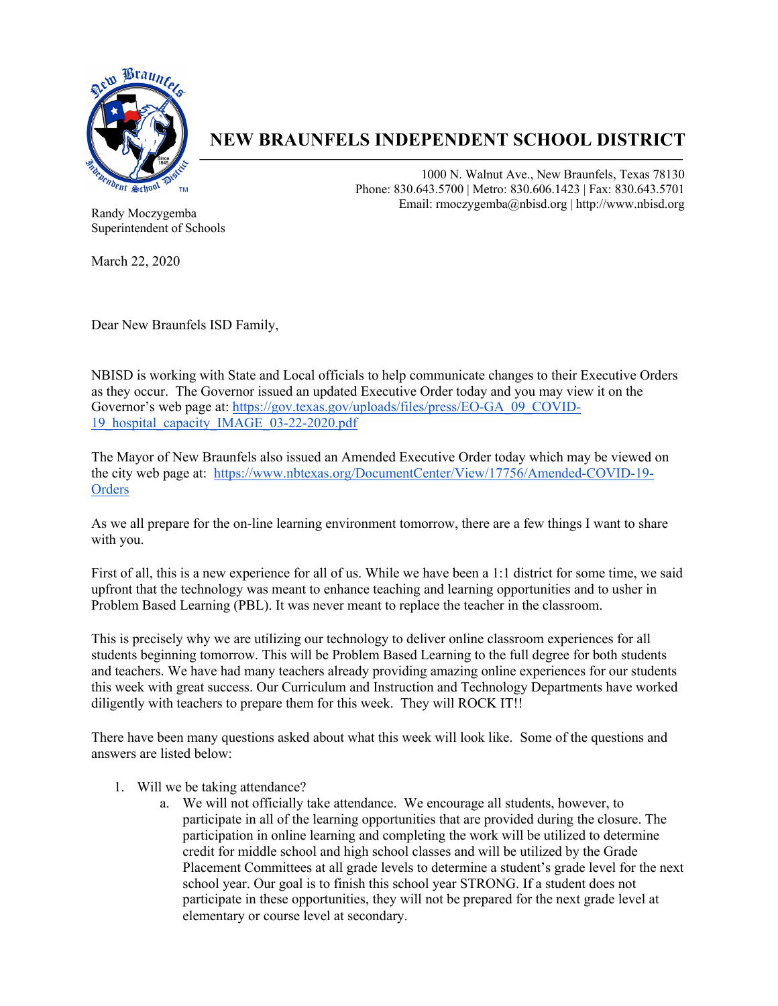

## **NEW BRAUNFELS INDEPENDENT SCHOOL DISTRICT**

1000 N. Walnut Ave., New Braunfels, Texas 78130 Phone: 830.643.5700 | Metro: 830.606.1423 | Fax: 830.643.5701 Email: rmoczygemba@nbisd.org | http://www.nbisd.org

Randy Moczygemba Superintendent of Schools

March 22, 2020

Dear New Braunfels ISD Family,

NBISD is working with State and Local officials to help communicate changes to their Executive Orders as they occur. The Governor issued an updated Executive Order today and you may view it on the Governor's web page at: https://gov.texas.gov/uploads/files/press/EO-GA\_09\_COVID-19 hospital capacity IMAGE 03-22-2020.pdf

The Mayor of New Braunfels also issued an Amended Executive Order today which may be viewed on the city web page at: https://www.nbtexas.org/DocumentCenter/View/17756/Amended-COVID-19- **Orders** 

As we all prepare for the on-line learning environment tomorrow, there are a few things I want to share with you.

First of all, this is a new experience for all of us. While we have been a 1:1 district for some time, we said upfront that the technology was meant to enhance teaching and learning opportunities and to usher in Problem Based Learning (PBL). It was never meant to replace the teacher in the classroom.

This is precisely why we are utilizing our technology to deliver online classroom experiences for all students beginning tomorrow. This will be Problem Based Learning to the full degree for both students and teachers. We have had many teachers already providing amazing online experiences for our students this week with great success. Our Curriculum and Instruction and Technology Departments have worked diligently with teachers to prepare them for this week. They will ROCK IT!!

There have been many questions asked about what this week will look like. Some of the questions and answers are listed below:

- 1. Will we be taking attendance?
	- a. We will not officially take attendance. We encourage all students, however, to participate in all of the learning opportunities that are provided during the closure. The participation in online learning and completing the work will be utilized to determine credit for middle school and high school classes and will be utilized by the Grade Placement Committees at all grade levels to determine a student's grade level for the next school year. Our goal is to finish this school year STRONG. If a student does not participate in these opportunities, they will not be prepared for the next grade level at elementary or course level at secondary.